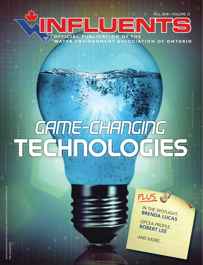FALL 2018 • VOLUME 13

IN THE SPOTLIGHT:<br> **BRENDA LUCAS**<br>
OPCEA PROFILE:<br> **ROBERT LFF** 

AND MORE…

PLUS

 $\Box$ OFFICIAL PUBLICATION OF THE  $\Im$ WATER ENVIRONMENT ASSOCIATION OF ONTARIO

## GRIME CHANGING